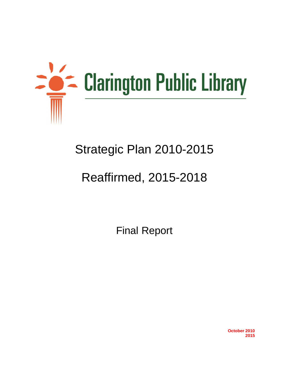

## Strategic Plan 2010-2015

# Reaffirmed, 2015-2018

Final Report

**October 2010 2015**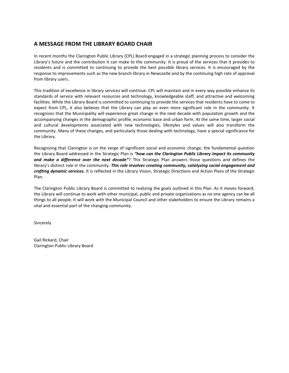## **A MESSAGE FROM THE LIBRARY BOARD CHAIR**

In recent months the Clarington Public Library (CPL) Board engaged in a strategic planning process to consider the Library's future and the contribution it can make to the community. It is proud of the services that it provides to residents and is committed to continuing to provide the best possible library services. It is encouraged by the response to improvements such as the new branch library in Newcastle and by the continuing high rate of approval from library users.

This tradition of excellence in library services will continue. CPL will maintain and in every way possible enhance its standards of service with relevant resources and technology, knowledgeable staff, and attractive and welcoming facilities. While the Library Board is committed to continuing to provide the services that residents have to come to expect from CPL, it also believes that the Library can play an even more significant role in the community. It recognizes that the Municipality will experience great change in the next decade with population growth and the accompanying changes in the demographic profile, economic base and urban form. At the same time, larger social and cultural developments associated with new technologies, lifestyles and values will also transform the community. Many of these changes, and particularly those dealing with technology, have a special significance for the Library.

Recognizing that Clarington is on the verge of significant social and economic change, the fundamental question the Library Board addressed in the Strategic Plan is *"how can the Clarington Public Library impact its community and make a difference over the next decade"*? This Strategic Plan answers those questions and defines the library's distinct role in the community. This role involves creating community, catalyzing social engagement and *crafting dynamic services.* It is reflected in the Library Vision, Strategic Directions and Action Plans of the Strategic Plan.

The Clarington Public Library Board is committed to realizing the goals outlined in this Plan. As it moves forward, the Library will continue to work with other municipal, public and private organizations as no one agency can be all things to all people. It will work with the Municipal Council and other stakeholders to ensure the Library remains a vital and essential part of the changing community.

Sincerely

Gail Rickard, Chair Clarington Public Library Board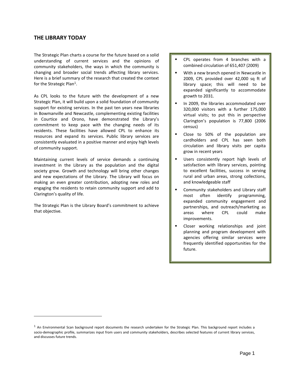#### **THE LIBRARY TODAY**

 $\overline{a}$ 

The Strategic Plan charts a course for the future based on a solid understanding of current services and the opinions of community stakeholders, the ways in which the community is changing and broader social trends affecting library services. Here is a brief summary of the research that created the context for the Strategic Plan<sup>1</sup>.

As CPL looks to the future with the development of a new Strategic Plan, it will build upon a solid foundation of community support for existing services. In the past ten years new libraries in Bowmanville and Newcastle, complementing existing facilities in Courtice and Orono, have demonstrated the Library's commitment to keep pace with the changing needs of its residents. These facilities have allowed CPL to enhance its resources and expand its services. Public library services are consistently evaluated in a positive manner and enjoy high levels of community support.

Maintaining current levels of service demands a continuing investment in the Library as the population and the digital society grow. Growth and technology will bring other changes and new expectations of the Library. The Library will focus on making an even greater contribution, adopting new roles and engaging the residents to retain community support and add to Clarington's quality of life.

The Strategic Plan is the Library Board's commitment to achieve that objective.

- CPL operates from 4 branches with a combined circulation of 651,407 (2009)
- **With a new branch opened in Newcastle in** 2009, CPL provided over 42,000 sq ft of library space; this will need to be expanded significantly to accommodate growth to 2031.
- **IF 11 2009, the libraries accommodated over** 320,000 visitors with a further 175,000 virtual visits; to put this in perspective Clarington's population is 77,800 (2006 census)
- **Close to 50% of the population are** cardholders and CPL has seen both circulation and library visits per capita grow in recent years
- **Users consistently report high levels of** satisfaction with library services, pointing to excellent facilities, success in serving rural and urban areas, strong collections, and knowledgeable staff
- **EXEDER** Community stakeholders and Library staff most often identify programming, expanded community engagement and partnerships, and outreach/marketing as areas where CPL could make improvements.
- **Closer working relationships and joint** planning and program development with agencies offering similar services were frequently identified opportunities for the future.

 $<sup>1</sup>$  An Environmental Scan background report documents the research undertaken for the Strategic Plan. This background report includes a</sup> socio-demographic profile, summarizes input from users and community stakeholders, describes selected features of current library services, and discusses future trends.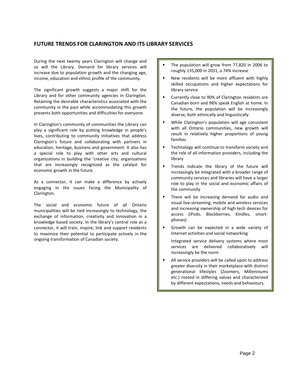## **FUTURE TRENDS FOR CLARINGTON AND ITS LIBRARY SERVICES**

During the next twenty years Clarington will change and so will the Library. Demand for library services will increase due to population growth and the changing age, income, education and ethnic profile of the community.

The significant growth suggests a major shift for the Library and for other community agencies in Clarington. Retaining the desirable characteristics associated with the community in the past while accommodating this growth presents both opportunities and difficulties for everyone.

In Clarington's community of communities the Library can play a significant role by putting knowledge in people's lives, contributing to community initiatives that address Clarington's future and collaborating with partners in education, heritage, business and government. It also has a special role to play with other arts and cultural organizations in building the 'creative city, organizations that are increasingly recognized as the catalyst for economic growth in the future.

As a connector, it can make a difference by actively engaging in the issues facing the Municipality of Clarington.

The social and economic future of all Ontario municipalities will be tied increasingly to technology, the exchange of information, creativity and innovation in a knowledge based society. In the library's central role as a connector, it will train, inspire, link and support residents to maximize their potential to participate actively in the ongoing transformation of Canadian society.

- The population will grow from 77,820 in 2006 to roughly 135,000 in 2031, a 74% increase
- New residents will be more affluent with highly skilled occupations and higher expectations for library service
- Currently close to 90% of Clarington residents are Canadian born and 98% speak English at home. In the future, the population will be increasingly diverse, both ethnically and linguistically
- **While Clarington's population will age consistent** with all Ontario communities, new growth will result in relatively higher proportions of young families
- Technology will continue to transform society and the role of all information providers, including the library
- **Trends indicate the library of the future will** increasingly be integrated with a broader range of community services and libraries will have a larger role to play in the social and economic affairs of the community
- **There will be increasing demand for audio and** visual live-streaming, mobile and wireless services and increasing ownership of high tech devices for access (iPods, Blackberries, Kindles, smartphones)
- Growth can be expected in a wide variety of Internet activities and social networking

Integrated service delivery systems where most services are delivered collaboratively will increasingly be the norm

 All service providers will be called upon to address greater diversity in their marketplace with distinct generational lifestyles (Zoomers, Millenniums etc.) rooted in differing values and characterized by different expectations, needs and behaviours.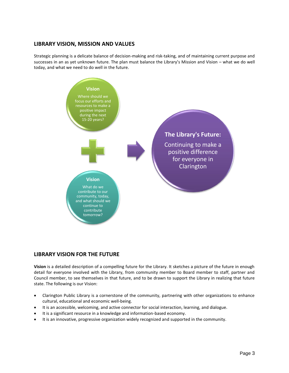## **LIBRARY VISION, MISSION AND VALUES**

Strategic planning is a delicate balance of decision-making and risk-taking, and of maintaining current purpose and successes in an as yet unknown future. The plan must balance the Library's Mission and Vision – what we do well today, and what we need to do well in the future.



## **LIBRARY VISION FOR THE FUTURE**

**Vision** is a detailed description of a compelling future for the Library. It sketches a picture of the future in enough detail for everyone involved with the Library, from community member to Board member to staff, partner and Council member, to see themselves in that future, and to be drawn to support the Library in realizing that future state. The following is our Vision:

- Clarington Public Library is a cornerstone of the community, partnering with other organizations to enhance cultural, educational and economic well-being.
- It is an accessible, welcoming, and active connector for social interaction, learning, and dialogue.
- It is a significant resource in a knowledge and information-based economy.
- It is an innovative, progressive organization widely recognized and supported in the community.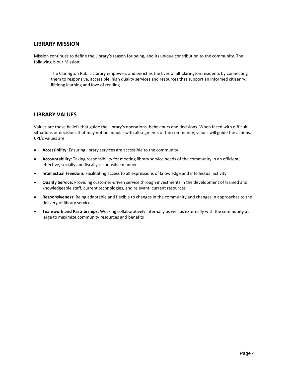#### **LIBRARY MISSION**

Mission continues to define the Library's reason for being, and its unique contribution to the community. The following is our Mission:

The Clarington Public Library empowers and enriches the lives of all Clarington residents by connecting them to responsive, accessible, high quality services and resources that support an informed citizenry, lifelong learning and love of reading.

#### **LIBRARY VALUES**

Values are those beliefs that guide the Library's operations, behaviours and decisions. When faced with difficult situations or decisions that may not be popular with all segments of the community, values will guide the actions. CPL's values are:

- **Accessibility:** Ensuring library services are accessible to the community
- **Accountability:** Taking responsibility for meeting library service needs of the community in an efficient, effective, socially and fiscally responsible manner
- **Intellectual Freedom:** Facilitating access to all expressions of knowledge and intellectual activity
- **Quality Service:** Providing customer-driven service through investments in the development of trained and knowledgeable staff, current technologies, and relevant, current resources
- **Responsiveness:** Being adaptable and flexible to changes in the community and changes in approaches to the delivery of library services
- **Teamwork and Partnerships:** Working collaboratively internally as well as externally with the community at large to maximize community resources and benefits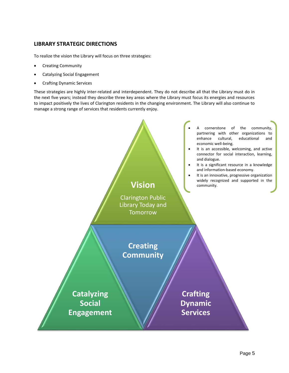## **LIBRARY STRATEGIC DIRECTIONS**

To realize the vision the Library will focus on three strategies:

- Creating Community
- Catalyzing Social Engagement
- Crafting Dynamic Services

These strategies are highly inter-related and interdependent. They do not describe all that the Library must do in the next five years; instead they describe three key areas where the Library must focus its energies and resources to impact positively the lives of Clarington residents in the changing environment. The Library will also continue to manage a strong range of services that residents currently enjoy.

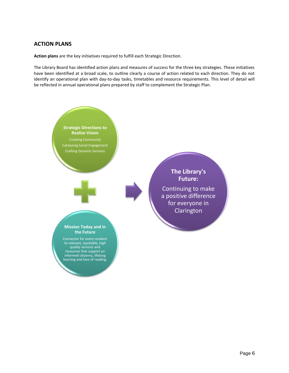## **ACTION PLANS**

**Action plans** are the key initiatives required to fulfill each Strategic Direction.

The Library Board has identified action plans and measures of success for the three key strategies. These initiatives have been identified at a broad scale, to outline clearly a course of action related to each direction. They do not identify an operational plan with day-to-day tasks, timetables and resource requirements. This level of detail will be reflected in annual operational plans prepared by staff to complement the Strategic Plan.

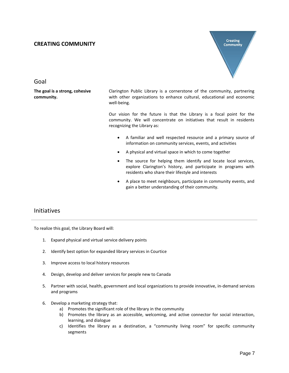#### **CREATING COMMUNITY**



Goal

**The goal is a strong, cohesive community.** 

Clarington Public Library is a cornerstone of the community, partnering with other organizations to enhance cultural, educational and economic well-being.

Our vision for the future is that the Library is a focal point for the community. We will concentrate on initiatives that result in residents recognizing the Library as:

- A familiar and well respected resource and a primary source of information on community services, events, and activities
- A physical and virtual space in which to come together
- The source for helping them identify and locate local services, explore Clarington's history, and participate in programs with residents who share their lifestyle and interests
- A place to meet neighbours, participate in community events, and gain a better understanding of their community.

## Initiatives

To realize this goal, the Library Board will:

- 1. Expand physical and virtual service delivery points
- 2. Identify best option for expanded library services in Courtice
- 3. Improve access to local history resources
- 4. Design, develop and deliver services for people new to Canada
- 5. Partner with social, health, government and local organizations to provide innovative, in-demand services and programs
- 6. Develop a marketing strategy that:
	- a) Promotes the significant role of the library in the community
	- b) Promotes the library as an accessible, welcoming, and active connector for social interaction, learning, and dialogue
	- c) Identifies the library as a destination, a "community living room" for specific community segments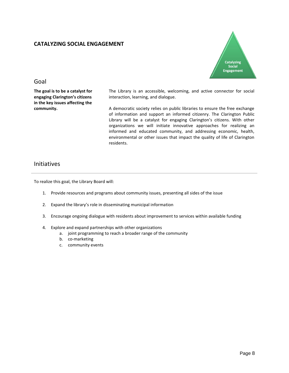#### **CATALYZING SOCIAL ENGAGEMENT**



#### Goal

**The goal is to be a catalyst for engaging Clarington's citizens in the key issues affecting the community.** 

The Library is an accessible, welcoming, and active connector for social interaction, learning, and dialogue.

A democratic society relies on public libraries to ensure the free exchange of information and support an informed citizenry. The Clarington Public Library will be a catalyst for engaging Clarington's citizens. With other organizations we will initiate innovative approaches for realizing an informed and educated community, and addressing economic, health, environmental or other issues that impact the quality of life of Clarington residents.

## Initiatives

To realize this goal, the Library Board will:

- 1. Provide resources and programs about community issues, presenting all sides of the issue
- 2. Expand the library's role in disseminating municipal information
- 3. Encourage ongoing dialogue with residents about improvement to services within available funding
- 4. Explore and expand partnerships with other organizations
	- a. joint programming to reach a broader range of the community
	- b. co-marketing
	- c. community events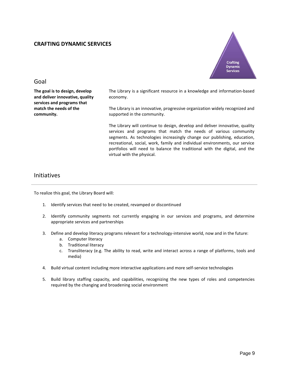#### **CRAFTING DYNAMIC SERVICES**



#### Goal

**The goal is to design, develop and deliver innovative, quality services and programs that match the needs of the community.** 

The Library is a significant resource in a knowledge and information-based economy.

The Library is an innovative, progressive organization widely recognized and supported in the community.

The Library will continue to design, develop and deliver innovative, quality services and programs that match the needs of various community segments. As technologies increasingly change our publishing, education, recreational, social, work, family and individual environments, our service portfolios will need to balance the traditional with the digital, and the virtual with the physical.

## Initiatives

To realize this goal, the Library Board will:

- 1. Identify services that need to be created, revamped or discontinued
- 2. Identify community segments not currently engaging in our services and programs, and determine appropriate services and partnerships
- 3. Define and develop literacy programs relevant for a technology-intensive world, now and in the future:
	- a. Computer literacy
	- b. Traditional literacy
	- c. Transliteracy (e.g. The ability to read, write and interact across a range of platforms, tools and media)
- 4. Build virtual content including more interactive applications and more self-service technologies
- 5. Build library staffing capacity, and capabilities, recognizing the new types of roles and competencies required by the changing and broadening social environment